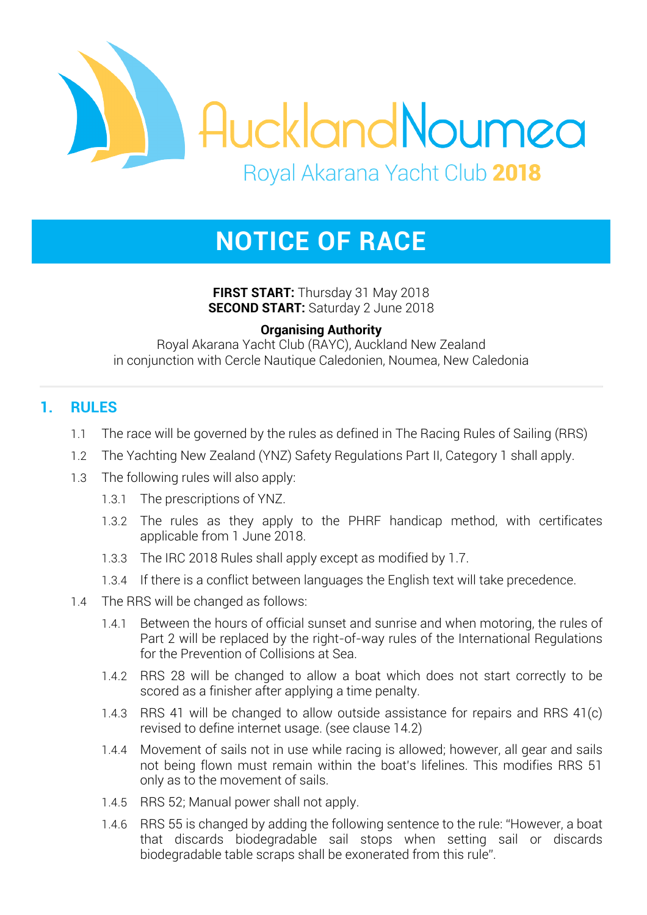

# **NOTICE OF RACE**

**FIRST START:** Thursday 31 May 2018 **SECOND START:** Saturday 2 June 2018

### **Organising Authority**

Royal Akarana Yacht Club (RAYC), Auckland New Zealand in conjunction with Cercle Nautique Caledonien, Noumea, New Caledonia

# **1. RULES**

- 1.1 The race will be governed by the rules as defined in The Racing Rules of Sailing (RRS)
- 1.2 The Yachting New Zealand (YNZ) Safety Regulations Part II, Category 1 shall apply.
- 1.3 The following rules will also apply:
	- 1.3.1 The prescriptions of YNZ.
	- 1.3.2 The rules as they apply to the PHRF handicap method, with certificates applicable from 1 June 2018.
	- 1.3.3 The IRC 2018 Rules shall apply except as modified by 1.7.
	- 1.3.4 If there is a conflict between languages the English text will take precedence.
- 1.4 The RRS will be changed as follows:
	- 1.4.1 Between the hours of official sunset and sunrise and when motoring, the rules of Part 2 will be replaced by the right-of-way rules of the International Regulations for the Prevention of Collisions at Sea.
	- 1.4.2 RRS 28 will be changed to allow a boat which does not start correctly to be scored as a finisher after applying a time penalty.
	- 1.4.3 RRS 41 will be changed to allow outside assistance for repairs and RRS 41(c) revised to define internet usage. (see clause 14.2)
	- 1.4.4 Movement of sails not in use while racing is allowed; however, all gear and sails not being flown must remain within the boat's lifelines. This modifies RRS 51 only as to the movement of sails.
	- 1.4.5 RRS 52; Manual power shall not apply.
	- 1.4.6 RRS 55 is changed by adding the following sentence to the rule: "However, a boat that discards biodegradable sail stops when setting sail or discards biodegradable table scraps shall be exonerated from this rule".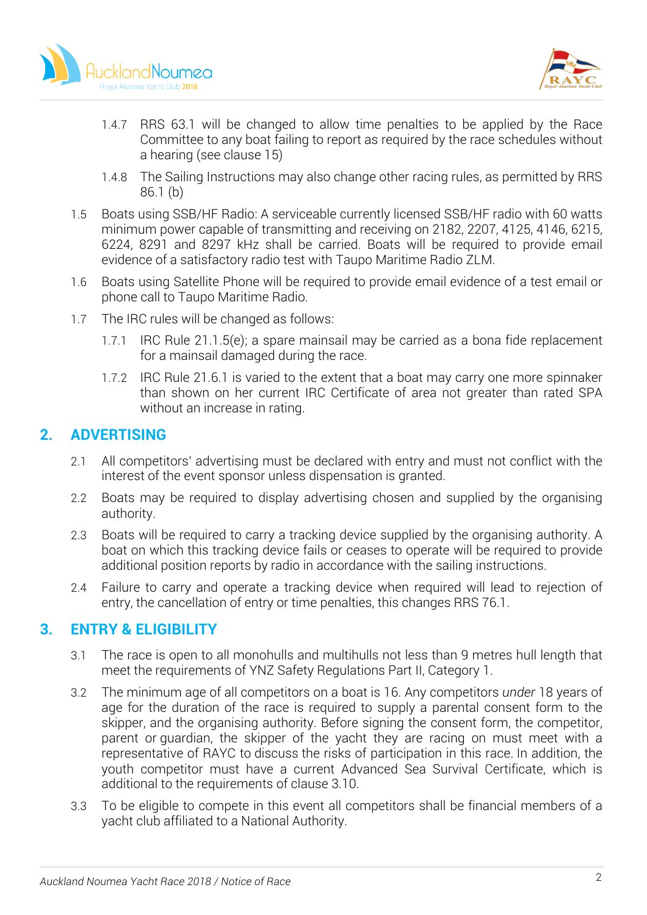



- 1.4.7 RRS 63.1 will be changed to allow time penalties to be applied by the Race Committee to any boat failing to report as required by the race schedules without a hearing (see clause 15)
- 1.4.8 The Sailing Instructions may also change other racing rules, as permitted by RRS 86.1 (b)
- 1.5 Boats using SSB/HF Radio: A serviceable currently licensed SSB/HF radio with 60 watts minimum power capable of transmitting and receiving on 2182, 2207, 4125, 4146, 6215, 6224, 8291 and 8297 kHz shall be carried. Boats will be required to provide email evidence of a satisfactory radio test with Taupo Maritime Radio ZLM.
- 1.6 Boats using Satellite Phone will be required to provide email evidence of a test email or phone call to Taupo Maritime Radio.
- 1.7 The IRC rules will be changed as follows:
	- 1.7.1 IRC Rule 21.1.5(e); a spare mainsail may be carried as a bona fide replacement for a mainsail damaged during the race.
	- 1.7.2 IRC Rule 21.6.1 is varied to the extent that a boat may carry one more spinnaker than shown on her current IRC Certificate of area not greater than rated SPA without an increase in rating.

# **2. ADVERTISING**

- 2.1 All competitors' advertising must be declared with entry and must not conflict with the interest of the event sponsor unless dispensation is granted.
- 2.2 Boats may be required to display advertising chosen and supplied by the organising authority.
- 2.3 Boats will be required to carry a tracking device supplied by the organising authority. A boat on which this tracking device fails or ceases to operate will be required to provide additional position reports by radio in accordance with the sailing instructions.
- 2.4 Failure to carry and operate a tracking device when required will lead to rejection of entry, the cancellation of entry or time penalties, this changes RRS 76.1.

# **3. ENTRY & ELIGIBILITY**

- 3.1 The race is open to all monohulls and multihulls not less than 9 metres hull length that meet the requirements of YNZ Safety Regulations Part II, Category 1.
- 3.2 The minimum age of all competitors on a boat is 16. Any competitors *under* 18 years of age for the duration of the race is required to supply a parental consent form to the skipper, and the organising authority. Before signing the consent form, the competitor, parent or guardian, the skipper of the yacht they are racing on must meet with a representative of RAYC to discuss the risks of participation in this race. In addition, the youth competitor must have a current Advanced Sea Survival Certificate, which is additional to the requirements of clause 3.10.
- 3.3 To be eligible to compete in this event all competitors shall be financial members of a yacht club affiliated to a National Authority.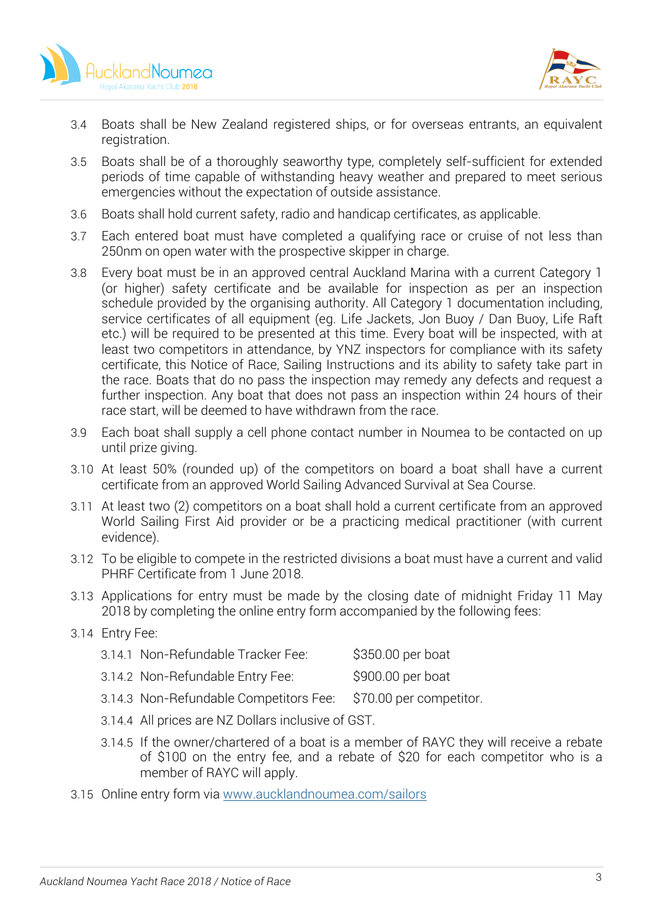



- 3.4 Boats shall be New Zealand registered ships, or for overseas entrants, an equivalent registration.
- 3.5 Boats shall be of a thoroughly seaworthy type, completely self-sufficient for extended periods of time capable of withstanding heavy weather and prepared to meet serious emergencies without the expectation of outside assistance.
- 3.6 Boats shall hold current safety, radio and handicap certificates, as applicable.
- 3.7 Each entered boat must have completed a qualifying race or cruise of not less than 250nm on open water with the prospective skipper in charge.
- 3.8 Every boat must be in an approved central Auckland Marina with a current Category 1 (or higher) safety certificate and be available for inspection as per an inspection schedule provided by the organising authority. All Category 1 documentation including, service certificates of all equipment (eg. Life Jackets, Jon Buoy / Dan Buoy, Life Raft etc.) will be required to be presented at this time. Every boat will be inspected, with at least two competitors in attendance, by YNZ inspectors for compliance with its safety certificate, this Notice of Race, Sailing Instructions and its ability to safety take part in the race. Boats that do no pass the inspection may remedy any defects and request a further inspection. Any boat that does not pass an inspection within 24 hours of their race start, will be deemed to have withdrawn from the race.
- 3.9 Each boat shall supply a cell phone contact number in Noumea to be contacted on up until prize giving.
- 3.10 At least 50% (rounded up) of the competitors on board a boat shall have a current certificate from an approved World Sailing Advanced Survival at Sea Course.
- 3.11 At least two (2) competitors on a boat shall hold a current certificate from an approved World Sailing First Aid provider or be a practicing medical practitioner (with current evidence).
- 3.12 To be eligible to compete in the restricted divisions a boat must have a current and valid PHRF Certificate from 1 June 2018.
- 3.13 Applications for entry must be made by the closing date of midnight Friday 11 May 2018 by completing the online entry form accompanied by the following fees:

#### 3.14 Entry Fee:

| 3.14.1 Non-Refundable Tracker Fee:   | \$350.00 per boat                                           |
|--------------------------------------|-------------------------------------------------------------|
| 3.14.2 Non-Refundable Entry Fee:     | \$900.00 per boat                                           |
| $\sim$ 11 $\sim$ 11 $\sim$ 11 $\sim$ | $\lambda \rightarrow \alpha$ , $\lambda \rightarrow \alpha$ |

- 3.14.3 Non-Refundable Competitors Fee: \$70.00 per competitor.
- 3.14.4 All prices are NZ Dollars inclusive of GST.
- 3.14.5 If the owner/chartered of a boat is a member of RAYC they will receive a rebate of \$100 on the entry fee, and a rebate of \$20 for each competitor who is a member of RAYC will apply.
- 3.15 Online entry form via www.aucklandnoumea.com/sailors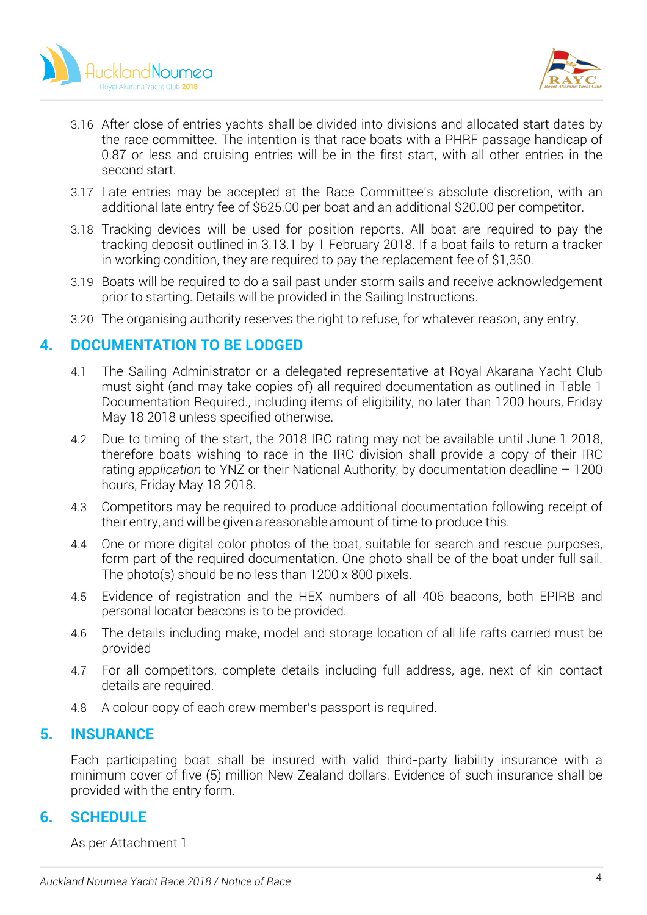



- 3.16 After close of entries yachts shall be divided into divisions and allocated start dates by the race committee. The intention is that race boats with a PHRF passage handicap of 0.87 or less and cruising entries will be in the first start, with all other entries in the second start.
- 3.17 Late entries may be accepted at the Race Committee's absolute discretion, with an additional late entry fee of \$625.00 per boat and an additional \$20.00 per competitor.
- 3.18 Tracking devices will be used for position reports. All boat are required to pay the tracking deposit outlined in 3.13.1 by 1 February 2018. If a boat fails to return a tracker in working condition, they are required to pay the replacement fee of \$1,350.
- 3.19 Boats will be required to do a sail past under storm sails and receive acknowledgement prior to starting. Details will be provided in the Sailing Instructions.
- 3.20 The organising authority reserves the right to refuse, for whatever reason, any entry.

# **4. DOCUMENTATION TO BE LODGED**

- 4.1 The Sailing Administrator or a delegated representative at Royal Akarana Yacht Club must sight (and may take copies of) all required documentation as outlined in Table 1 Documentation Required., including items of eligibility, no later than 1200 hours, Friday May 18 2018 unless specified otherwise.
- 4.2 Due to timing of the start, the 2018 IRC rating may not be available until June 1 2018, therefore boats wishing to race in the IRC division shall provide a copy of their IRC rating *application* to YNZ or their National Authority, by documentation deadline – 1200 hours, Friday May 18 2018.
- 4.3 Competitors may be required to produce additional documentation following receipt of their entry, andwill be given a reasonable amount of time to produce this.
- 4.4 One or more digital color photos of the boat, suitable for search and rescue purposes, form part of the required documentation. One photo shall be of the boat under full sail. The photo(s) should be no less than 1200 x 800 pixels.
- 4.5 Evidence of registration and the HEX numbers of all 406 beacons, both EPIRB and personal locator beacons is to be provided.
- 4.6 The details including make, model and storage location of all life rafts carried must be provided
- 4.7 For all competitors, complete details including full address, age, next of kin contact details are required.
- 4.8 A colour copy of each crew member's passport is required.

# **5. INSURANCE**

Each participating boat shall be insured with valid third-party liability insurance with a minimum cover of five (5) million New Zealand dollars. Evidence of such insurance shall be provided with the entry form.

# **6. SCHEDULE**

As per Attachment 1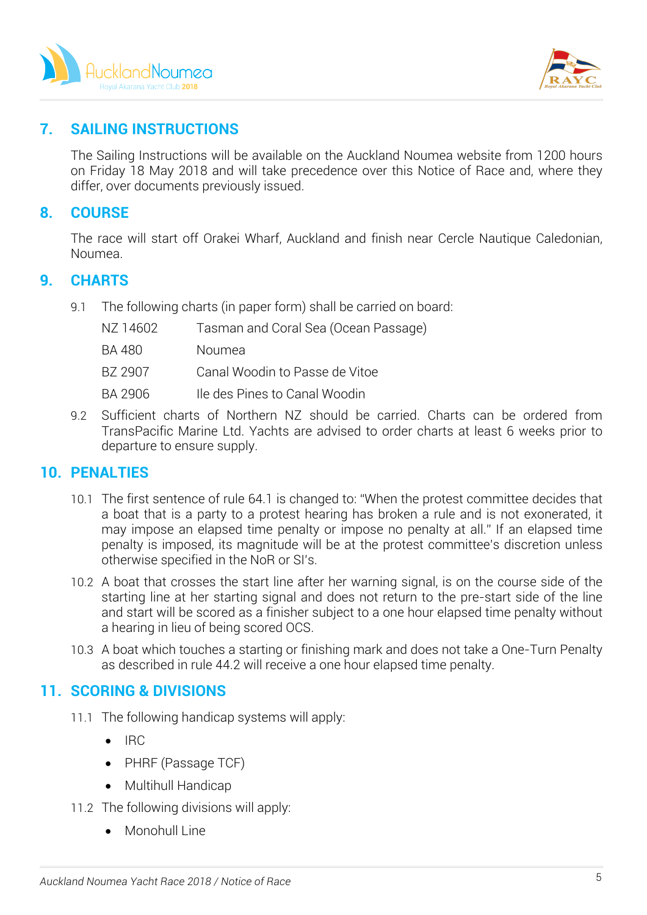



# **7. SAILING INSTRUCTIONS**

The Sailing Instructions will be available on the Auckland Noumea website from 1200 hours on Friday 18 May 2018 and will take precedence over this Notice of Race and, where they differ, over documents previously issued.

# **8. COURSE**

The race will start off Orakei Wharf, Auckland and finish near Cercle Nautique Caledonian, Noumea.

### **9. CHARTS**

9.1 The following charts (in paper form) shall be carried on board:

| NZ 14602 | Tasman and Coral Sea (Ocean Passage) |
|----------|--------------------------------------|
| BA 480   | Noumea                               |
| BZ 2907  | Canal Woodin to Passe de Vitoe       |
| BA 2906  | Ile des Pines to Canal Woodin        |
|          |                                      |

9.2 Sufficient charts of Northern NZ should be carried. Charts can be ordered from TransPacific Marine Ltd. Yachts are advised to order charts at least 6 weeks prior to departure to ensure supply.

# **10. PENALTIES**

- 10.1 The first sentence of rule 64.1 is changed to: "When the protest committee decides that a boat that is a party to a protest hearing has broken a rule and is not exonerated, it may impose an elapsed time penalty or impose no penalty at all." If an elapsed time penalty is imposed, its magnitude will be at the protest committee's discretion unless otherwise specified in the NoR or SI's.
- 10.2 A boat that crosses the start line after her warning signal, is on the course side of the starting line at her starting signal and does not return to the pre-start side of the line and start will be scored as a finisher subject to a one hour elapsed time penalty without a hearing in lieu of being scored OCS.
- 10.3 A boat which touches a starting or finishing mark and does not take a One-Turn Penalty as described in rule 44.2 will receive a one hour elapsed time penalty.

# **11. SCORING & DIVISIONS**

- 11.1 The following handicap systems will apply:
	- IRC
	- PHRF (Passage TCF)
	- Multihull Handicap
- 11.2 The following divisions will apply:
	- Monohull Line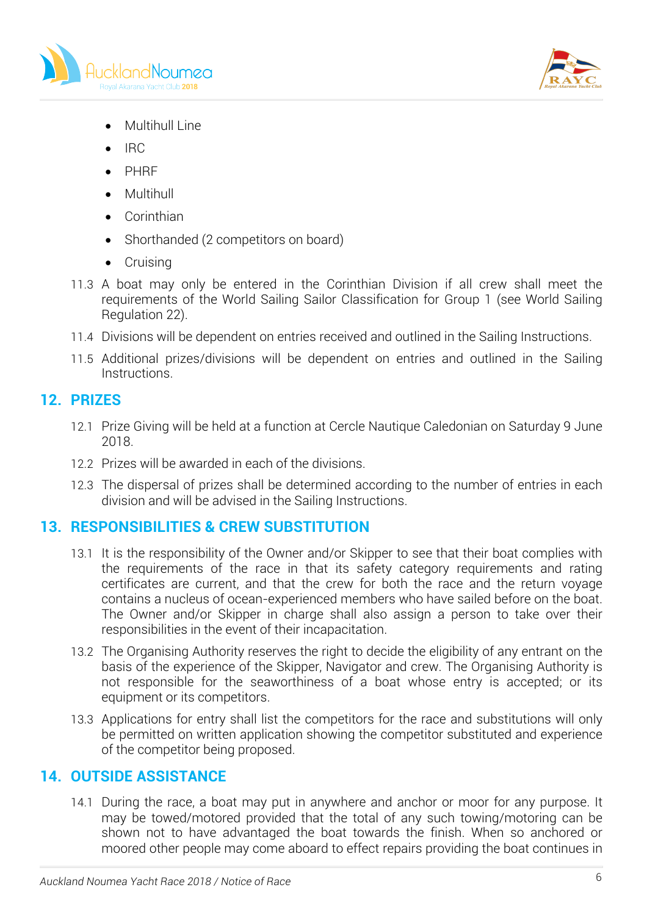



- Multihull Line
- IRC
- PHRF
- Multihull
- Corinthian
- Shorthanded (2 competitors on board)
- Cruising
- 11.3 A boat may only be entered in the Corinthian Division if all crew shall meet the requirements of the World Sailing Sailor Classification for Group 1 (see World Sailing Regulation 22).
- 11.4 Divisions will be dependent on entries received and outlined in the Sailing Instructions.
- 11.5 Additional prizes/divisions will be dependent on entries and outlined in the Sailing Instructions.

# **12. PRIZES**

- 12.1 Prize Giving will be held at a function at Cercle Nautique Caledonian on Saturday 9 June 2018.
- 12.2 Prizes will be awarded in each of the divisions.
- 12.3 The dispersal of prizes shall be determined according to the number of entries in each division and will be advised in the Sailing Instructions.

# **13. RESPONSIBILITIES & CREW SUBSTITUTION**

- 13.1 It is the responsibility of the Owner and/or Skipper to see that their boat complies with the requirements of the race in that its safety category requirements and rating certificates are current, and that the crew for both the race and the return voyage contains a nucleus of ocean-experienced members who have sailed before on the boat. The Owner and/or Skipper in charge shall also assign a person to take over their responsibilities in the event of their incapacitation.
- 13.2 The Organising Authority reserves the right to decide the eligibility of any entrant on the basis of the experience of the Skipper, Navigator and crew. The Organising Authority is not responsible for the seaworthiness of a boat whose entry is accepted; or its equipment or its competitors.
- 13.3 Applications for entry shall list the competitors for the race and substitutions will only be permitted on written application showing the competitor substituted and experience of the competitor being proposed.

# **14. OUTSIDE ASSISTANCE**

14.1 During the race, a boat may put in anywhere and anchor or moor for any purpose. It may be towed/motored provided that the total of any such towing/motoring can be shown not to have advantaged the boat towards the finish. When so anchored or moored other people may come aboard to effect repairs providing the boat continues in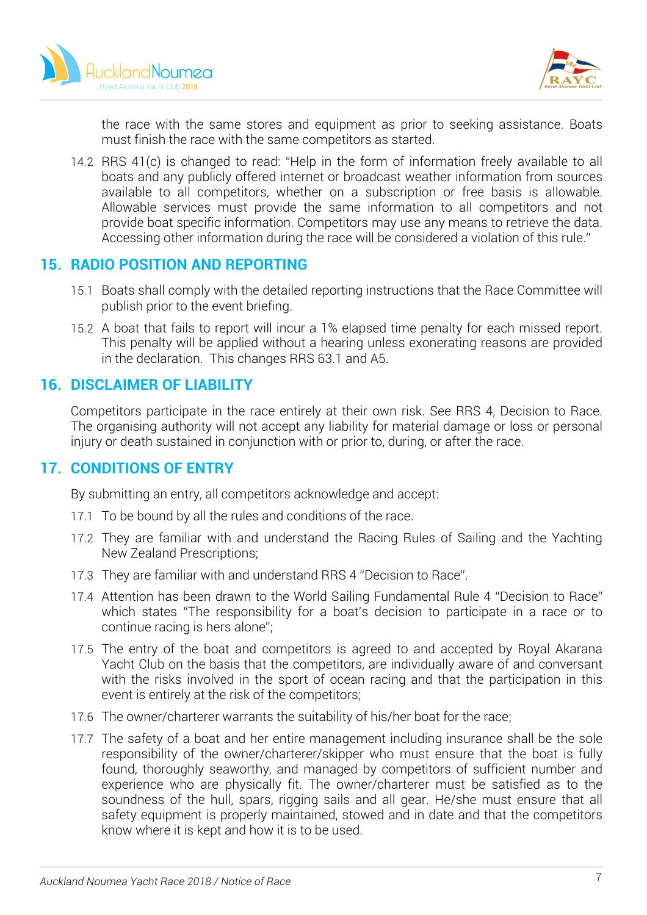



the race with the same stores and equipment as prior to seeking assistance. Boats must finish the race with the same competitors as started.

14.2 RRS 41(c) is changed to read: "Help in the form of information freely available to all boats and any publicly offered internet or broadcast weather information from sources available to all competitors, whether on a subscription or free basis is allowable. Allowable services must provide the same information to all competitors and not provide boat specific information. Competitors may use any means to retrieve the data. Accessing other information during the race will be considered a violation of this rule."

# **15. RADIO POSITION AND REPORTING**

- 15.1 Boats shall comply with the detailed reporting instructions that the Race Committee will publish prior to the event briefing.
- 15.2 A boat that fails to report will incur a 1% elapsed time penalty for each missed report. This penalty will be applied without a hearing unless exonerating reasons are provided in the declaration. This changes RRS 63.1 and A5.

# **16. DISCLAIMER OF LIABILITY**

Competitors participate in the race entirely at their own risk. See RRS 4, Decision to Race. The organising authority will not accept any liability for material damage or loss or personal injury or death sustained in conjunction with or prior to, during, or after the race.

# **17. CONDITIONS OF ENTRY**

By submitting an entry, all competitors acknowledge and accept:

- 17.1 To be bound by all the rules and conditions of the race.
- 17.2 They are familiar with and understand the Racing Rules of Sailing and the Yachting New Zealand Prescriptions;
- 17.3 They are familiar with and understand RRS 4 "Decision to Race".
- 17.4 Attention has been drawn to the World Sailing Fundamental Rule 4 "Decision to Race" which states "The responsibility for a boat's decision to participate in a race or to continue racing is hers alone";
- 17.5 The entry of the boat and competitors is agreed to and accepted by Royal Akarana Yacht Club on the basis that the competitors, are individually aware of and conversant with the risks involved in the sport of ocean racing and that the participation in this event is entirely at the risk of the competitors;
- 17.6 The owner/charterer warrants the suitability of his/her boat for the race;
- 17.7 The safety of a boat and her entire management including insurance shall be the sole responsibility of the owner/charterer/skipper who must ensure that the boat is fully found, thoroughly seaworthy, and managed by competitors of sufficient number and experience who are physically fit. The owner/charterer must be satisfied as to the soundness of the hull, spars, rigging sails and all gear. He/she must ensure that all safety equipment is properly maintained, stowed and in date and that the competitors know where it is kept and how it is to be used.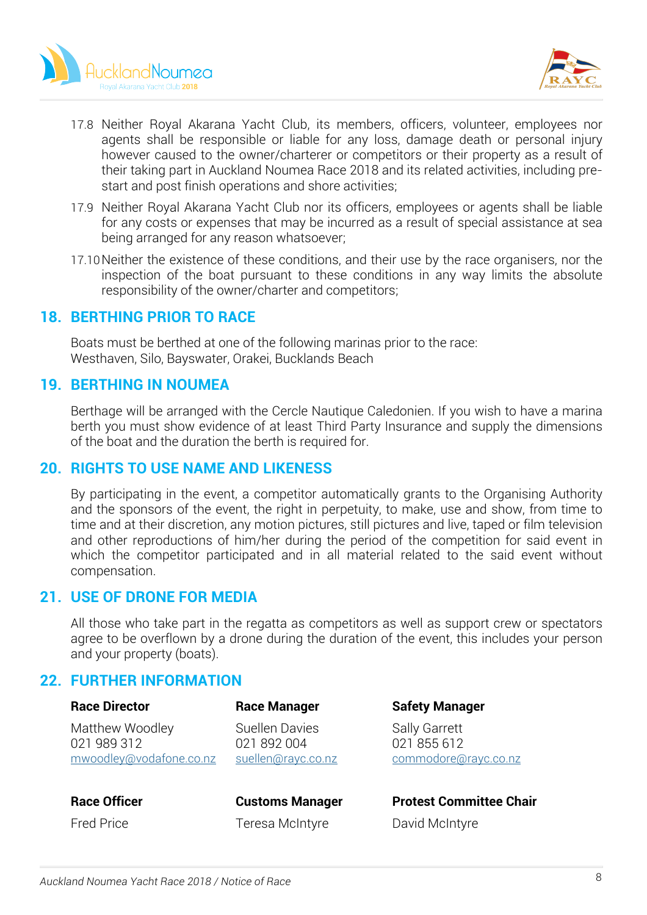



- 17.8 Neither Royal Akarana Yacht Club, its members, officers, volunteer, employees nor agents shall be responsible or liable for any loss, damage death or personal injury however caused to the owner/charterer or competitors or their property as a result of their taking part in Auckland Noumea Race 2018 and its related activities, including prestart and post finish operations and shore activities;
- 17.9 Neither Royal Akarana Yacht Club nor its officers, employees or agents shall be liable for any costs or expenses that may be incurred as a result of special assistance at sea being arranged for any reason whatsoever;
- 17.10Neither the existence of these conditions, and their use by the race organisers, nor the inspection of the boat pursuant to these conditions in any way limits the absolute responsibility of the owner/charter and competitors;

### **18. BERTHING PRIOR TO RACE**

Boats must be berthed at one of the following marinas prior to the race: Westhaven, Silo, Bayswater, Orakei, Bucklands Beach

### **19. BERTHING IN NOUMEA**

Berthage will be arranged with the Cercle Nautique Caledonien. If you wish to have a marina berth you must show evidence of at least Third Party Insurance and supply the dimensions of the boat and the duration the berth is required for.

#### **20. RIGHTS TO USE NAME AND LIKENESS**

By participating in the event, a competitor automatically grants to the Organising Authority and the sponsors of the event, the right in perpetuity, to make, use and show, from time to time and at their discretion, any motion pictures, still pictures and live, taped or film television and other reproductions of him/her during the period of the competition for said event in which the competitor participated and in all material related to the said event without compensation.

# **21. USE OF DRONE FOR MEDIA**

All those who take part in the regatta as competitors as well as support crew or spectators agree to be overflown by a drone during the duration of the event, this includes your person and your property (boats).

# **22. FURTHER INFORMATION**

| <b>Race Director</b>                                      | <b>Race Manager</b>                                 | <b>Safety Manager</b>                                       |
|-----------------------------------------------------------|-----------------------------------------------------|-------------------------------------------------------------|
| Matthew Woodley<br>021 989 312<br>mwoodley@vodafone.co.nz | Suellen Davies<br>021 892 004<br>suellen@rayc.co.nz | <b>Sally Garrett</b><br>021 855 612<br>commodore@rayc.co.nz |
|                                                           |                                                     |                                                             |

# Fred Price **Teresa McIntyre** David McIntyre

**Race Officer <b>CUST** Customs Manager **Protest Committee Chair**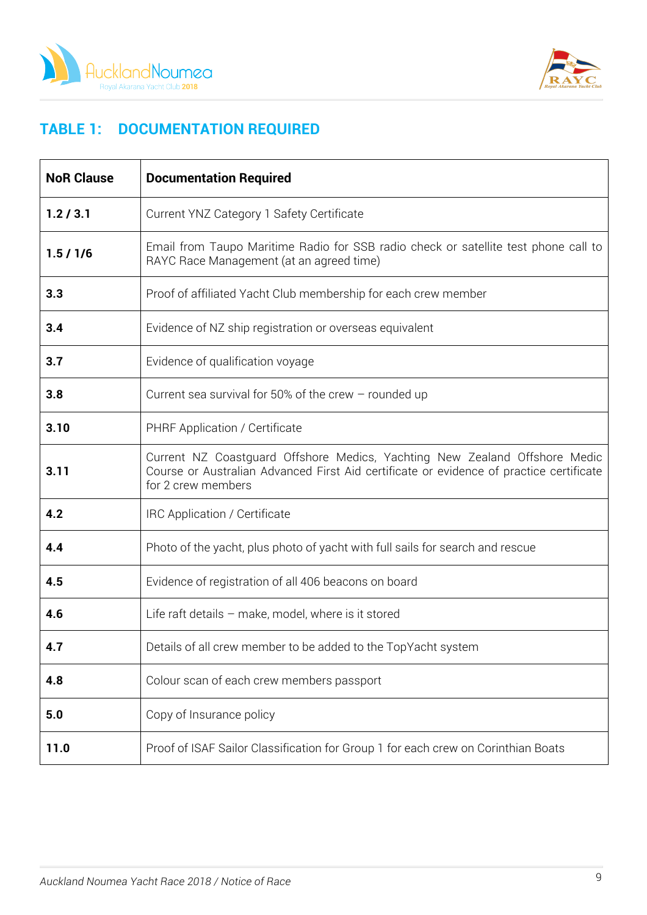



# **TABLE 1: DOCUMENTATION REQUIRED**

| <b>NoR Clause</b> | <b>Documentation Required</b>                                                                                                                                                               |
|-------------------|---------------------------------------------------------------------------------------------------------------------------------------------------------------------------------------------|
| 1.2 / 3.1         | Current YNZ Category 1 Safety Certificate                                                                                                                                                   |
| 1.5/1/6           | Email from Taupo Maritime Radio for SSB radio check or satellite test phone call to<br>RAYC Race Management (at an agreed time)                                                             |
| 3.3               | Proof of affiliated Yacht Club membership for each crew member                                                                                                                              |
| 3.4               | Evidence of NZ ship registration or overseas equivalent                                                                                                                                     |
| 3.7               | Evidence of qualification voyage                                                                                                                                                            |
| 3.8               | Current sea survival for 50% of the crew $-$ rounded up                                                                                                                                     |
| 3.10              | PHRF Application / Certificate                                                                                                                                                              |
| 3.11              | Current NZ Coastguard Offshore Medics, Yachting New Zealand Offshore Medic<br>Course or Australian Advanced First Aid certificate or evidence of practice certificate<br>for 2 crew members |
| 4.2               | IRC Application / Certificate                                                                                                                                                               |
| 4.4               | Photo of the yacht, plus photo of yacht with full sails for search and rescue                                                                                                               |
| 4.5               | Evidence of registration of all 406 beacons on board                                                                                                                                        |
| 4.6               | Life raft details - make, model, where is it stored                                                                                                                                         |
| 4.7               | Details of all crew member to be added to the TopYacht system                                                                                                                               |
| 4.8               | Colour scan of each crew members passport                                                                                                                                                   |
| 5.0               | Copy of Insurance policy                                                                                                                                                                    |
| 11.0              | Proof of ISAF Sailor Classification for Group 1 for each crew on Corinthian Boats                                                                                                           |